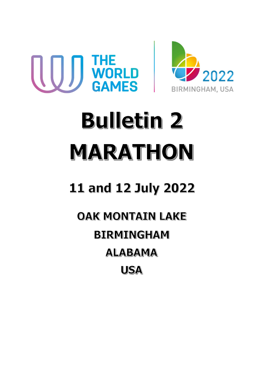



# **Bulletin 2** MARATHON

## **11 and 12 July 2022**

### **OAK MONTAIN LAKE BIRMINGHAM ALABAMA USA**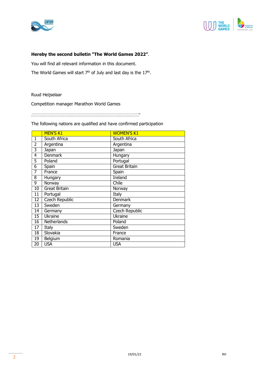



#### Hereby the second bulletin "The World Games 2022".

You will find all relevant information in this document.

The World Games will start  $7<sup>th</sup>$  of July and last day is the 17<sup>th</sup>.

Ruud Heijselaar

Competition manager Marathon World Games

-

The following nations are qualified and have confirmed participation

|                 | <b>MEN'S K1</b>       | <b>WOMEN'S K1</b>     |
|-----------------|-----------------------|-----------------------|
| 1               | South Africa          | South Africa          |
| $\overline{2}$  | Argentina             | Argentina             |
| 3               | Japan                 | Japan                 |
| 4               | <b>Denmark</b>        | Hungary               |
| 5               | Poland                | Portugal              |
| 6               | Spain                 | Great Britain         |
| 7               | France                | Spain                 |
| 8               | Hungary               | Ireland               |
| 9               | Norway                | Chile                 |
| 10              | <b>Great Britain</b>  | Norway                |
| 11              | Portugal              | Italy                 |
| 12 <sub>2</sub> | <b>Czech Republic</b> | <b>Denmark</b>        |
| 13              | Sweden                | Germany               |
| 14              | Germany               | <b>Czech Republic</b> |
| 15              | <b>Ukraine</b>        | Ukraine               |
| 16              | Netherlands           | Poland                |
| $\overline{17}$ | <b>Italy</b>          | Sweden                |
| 18              | Slovakia              | France                |
| 19              | Belgium               | Romania               |
| 20              | <b>USA</b>            | <b>USA</b>            |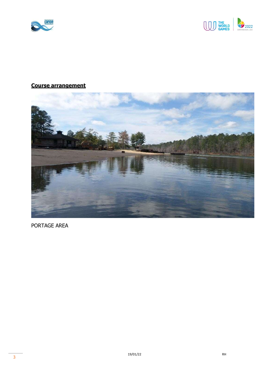



#### Course arrangement



PORTAGE AREA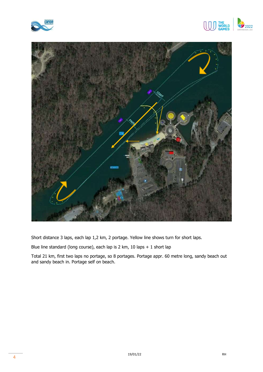





Short distance 3 laps, each lap 1,2 km, 2 portage. Yellow line shows turn for short laps.

Blue line standard (long course), each lap is 2 km, 10 laps + 1 short lap

Total 21 km, first two laps no portage, so 8 portages. Portage appr. 60 metre long, sandy beach out and sandy beach in. Portage self on beach.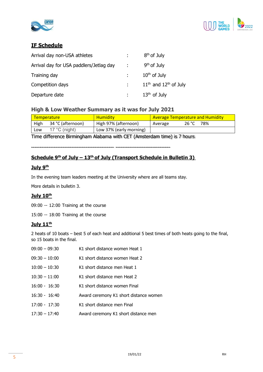



#### IF Schedule

| Arrival day non-USA athletes            |            | 8 <sup>th</sup> of July   |
|-----------------------------------------|------------|---------------------------|
| Arrival day for USA paddlers/Jetlag day | $\sim 100$ | $9th$ of July             |
| Training day                            |            | $10th$ of July            |
| Competition days                        |            | $11th$ and $12th$ of July |
| Departure date                          |            | $13th$ of July            |

#### High & Low Weather Summary as it was for July 2021

| <b>Temperature</b> |                         | <b>Humidity</b>         | <b>Average Temperature and Humidity</b> |  |
|--------------------|-------------------------|-------------------------|-----------------------------------------|--|
| High               | 34 °C (afternoon)       | High 97% (afternoon)    | 78%<br>26 °C<br>Average                 |  |
| LOW                | 17 $^{\circ}$ C (night) | Low 37% (early morning) |                                         |  |

Time difference Birmingham Alabama with CET (Amsterdam time) is 7 hours

#### Schedule 9<sup>th</sup> of July – 13<sup>th</sup> of July (Transport Schedule in Bulletin 3)

#### July 9th

In the evening team leaders meeting at the University where are all teams stay.

More details in bulletin 3.

#### July 10th

09:00 -- 12:00 Training at the course

15:00 -- 18:00 Training at the course

#### July 11<sup>th</sup>

2 heats of 10 boats – best 5 of each heat and additional 5 best times of both heats going to the final, so 15 boats in the final.

| $09:00 - 09:30$ | K1 short distance women Heat 1         |
|-----------------|----------------------------------------|
| $09:30 - 10:00$ | K1 short distance women Heat 2         |
| $10:00 - 10:30$ | K1 short distance men Heat 1           |
| $10:30 - 11:00$ | K1 short distance men Heat 2           |
| $16:00 - 16:30$ | K1 short distance women Final          |
| $16:30 - 16:40$ | Award ceremony K1 short distance women |
| $17:00 - 17:30$ | K1 short distance men Final            |
| $17:30 - 17:40$ | Award ceremony K1 short distance men   |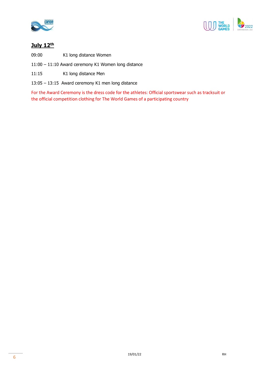



#### July 12th

09:00 K1 long distance Women

- 11:00 11:10 Award ceremony K1 Women long distance
- 11:15 K1 long distance Men
- 13:05 13:15 Award ceremony K1 men long distance

For the Award Ceremony is the dress code for the athletes: Official sportswear such as tracksuit or the official competition clothing for The World Games of a participating country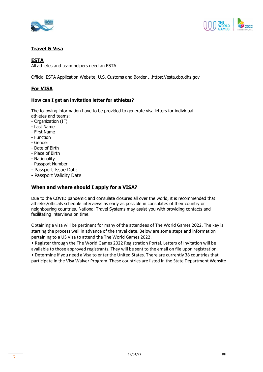



#### Travel & Visa

#### ESTA

All athletes and team helpers need an ESTA

Official ESTA Application Website, U.S. Customs and Border ...https://esta.cbp.dhs.gov

#### For VISA

#### How can I get an invitation letter for athletes?

The following information have to be provided to generate visa letters for individual athletes and teams:

- Organization (IF)
- Last Name
- First Name
- Function
- Gender
- Date of Birth
- Place of Birth
- Nationality
- Passport Number
- Passport Issue Date
- Passport Validity Date

#### When and where should I apply for a VISA?

Due to the COVID pandemic and consulate closures all over the world, it is recommended that athletes/officials schedule interviews as early as possible in consulates of their country or neighbouring countries. National Travel Systems may assist you with providing contacts and facilitating interviews on time.

Obtaining a visa will be pertinent for many of the attendees of The World Games 2022. The key is starting the process well in advance of the travel date. Below are some steps and information pertaining to a US Visa to attend the The World Games 2022.

• Register through the The World Games 2022 Registration Portal. Letters of Invitation will be available to those approved registrants. They will be sent to the email on file upon registration. • Determine if you need a Visa to enter the United States. There are currently 38 countries that participate in the Visa Waiver Program. These countries are listed in the State Department Website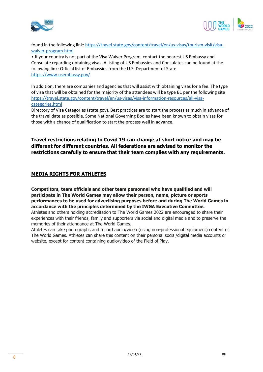



found in the following link: https://travel.state.gov/content/travel/en/us-visas/tourism-visit/visawaiver-program.html

• If your country is not part of the Visa Waiver Program, contact the nearest US Embassy and Consulate regarding obtaining visas. A listing of US Embassies and Consulates can be found at the following link: Official list of Embassies from the U.S. Department of State https://www.usembassy.gov/

In addition, there are companies and agencies that will assist with obtaining visas for a fee. The type of visa that will be obtained for the majority of the attendees will be type B1 per the following site https://travel.state.gov/content/travel/en/us-visas/visa-information-resources/all-visacategories.html

Directory of Visa Categories (state.gov). Best practices are to start the process as much in advance of the travel date as possible. Some National Governing Bodies have been known to obtain visas for those with a chance of qualification to start the process well in advance.

Travel restrictions relating to Covid 19 can change at short notice and may be different for different countries. All federations are advised to monitor the restrictions carefully to ensure that their team complies with any requirements.

#### MEDIA RIGHTS FOR ATHLETES

Competitors, team officials and other team personnel who have qualified and will participate in The World Games may allow their person, name, picture or sports performances to be used for advertising purposes before and during The World Games in accordance with the principles determined by the IWGA Executive Committee.

Athletes and others holding accreditation to The World Games 2022 are encouraged to share their experiences with their friends, family and supporters via social and digital media and to preserve the memories of their attendance at The World Games.

Athletes can take photographs and record audio/video (using non-professional equipment) content of The World Games. Athletes can share this content on their personal social/digital media accounts or website, except for content containing audio/video of the Field of Play.